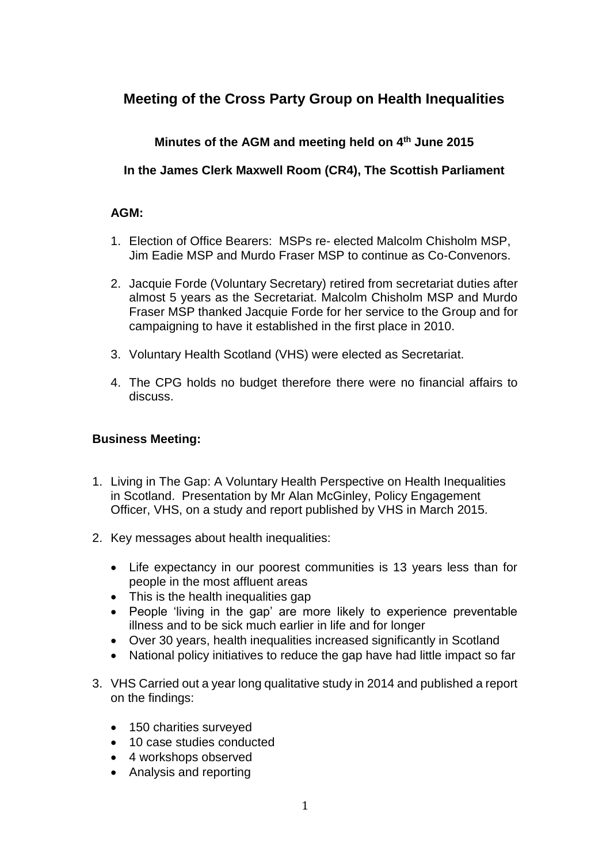## **Meeting of the Cross Party Group on Health Inequalities**

## **Minutes of the AGM and meeting held on 4 th June 2015**

**In the James Clerk Maxwell Room (CR4), The Scottish Parliament**

## **AGM:**

- 1. Election of Office Bearers: MSPs re- elected Malcolm Chisholm MSP, Jim Eadie MSP and Murdo Fraser MSP to continue as Co-Convenors.
- 2. Jacquie Forde (Voluntary Secretary) retired from secretariat duties after almost 5 years as the Secretariat. Malcolm Chisholm MSP and Murdo Fraser MSP thanked Jacquie Forde for her service to the Group and for campaigning to have it established in the first place in 2010.
- 3. Voluntary Health Scotland (VHS) were elected as Secretariat.
- 4. The CPG holds no budget therefore there were no financial affairs to discuss.

## **Business Meeting:**

- 1. Living in The Gap: A Voluntary Health Perspective on Health Inequalities in Scotland. Presentation by Mr Alan McGinley, Policy Engagement Officer, VHS, on a study and report published by VHS in March 2015.
- 2. Key messages about health inequalities:
	- Life expectancy in our poorest communities is 13 years less than for people in the most affluent areas
	- This is the health inequalities gap
	- People 'living in the gap' are more likely to experience preventable illness and to be sick much earlier in life and for longer
	- Over 30 years, health inequalities increased significantly in Scotland
	- National policy initiatives to reduce the gap have had little impact so far
- 3. VHS Carried out a year long qualitative study in 2014 and published a report on the findings:
	- 150 charities surveyed
	- 10 case studies conducted
	- 4 workshops observed
	- Analysis and reporting